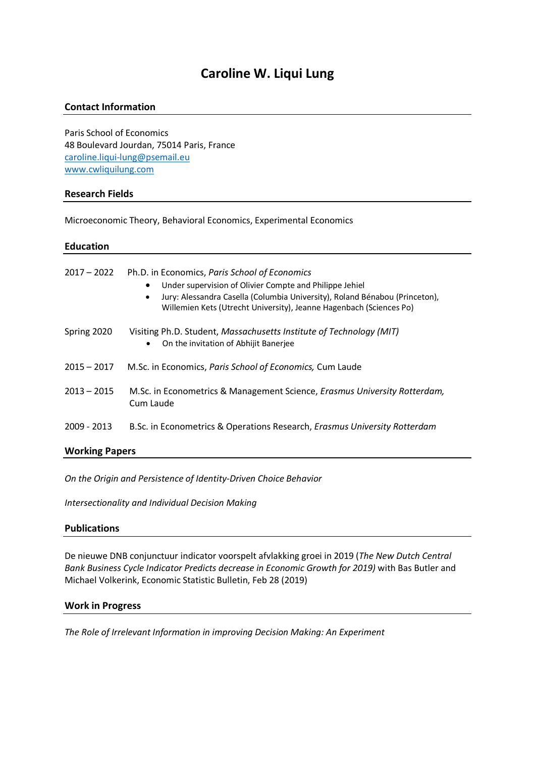# **Caroline W. Liqui Lung**

### **Contact Information**

Paris School of Economics 48 Boulevard Jourdan, 75014 Paris, France caroline.liqui-lung@psemail.eu www.cwliquilung.com

### **Research Fields**

Microeconomic Theory, Behavioral Economics, Experimental Economics

## **Education**

| $2017 - 2022$         | Ph.D. in Economics, Paris School of Economics<br>Under supervision of Olivier Compte and Philippe Jehiel<br>Jury: Alessandra Casella (Columbia University), Roland Bénabou (Princeton),<br>Willemien Kets (Utrecht University), Jeanne Hagenbach (Sciences Po) |  |
|-----------------------|----------------------------------------------------------------------------------------------------------------------------------------------------------------------------------------------------------------------------------------------------------------|--|
| Spring 2020           | Visiting Ph.D. Student, Massachusetts Institute of Technology (MIT)<br>On the invitation of Abhijit Banerjee<br>٠                                                                                                                                              |  |
| $2015 - 2017$         | M.Sc. in Economics, Paris School of Economics, Cum Laude                                                                                                                                                                                                       |  |
| $2013 - 2015$         | M.Sc. in Econometrics & Management Science, <i>Erasmus University Rotterdam</i> ,<br>Cum Laude                                                                                                                                                                 |  |
| 2009 - 2013           | B.Sc. in Econometrics & Operations Research, Erasmus University Rotterdam                                                                                                                                                                                      |  |
| <b>Working Papers</b> |                                                                                                                                                                                                                                                                |  |

*On the Origin and Persistence of Identity-Driven Choice Behavior*

*Intersectionality and Individual Decision Making*

### **Publications**

De nieuwe DNB conjunctuur indicator voorspelt afvlakking groei in 2019 (*The New Dutch Central Bank Business Cycle Indicator Predicts decrease in Economic Growth for 2019)* with Bas Butler and Michael Volkerink, Economic Statistic Bulletin, Feb 28 (2019)

### **Work in Progress**

*The Role of Irrelevant Information in improving Decision Making: An Experiment*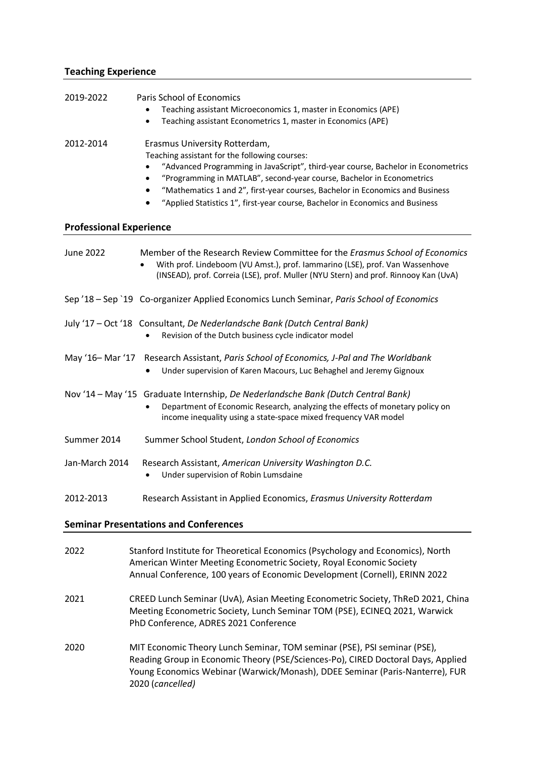## **Teaching Experience**

| 2019-2022                      | Paris School of Economics<br>Teaching assistant Microeconomics 1, master in Economics (APE)                                                                  |
|--------------------------------|--------------------------------------------------------------------------------------------------------------------------------------------------------------|
|                                | Teaching assistant Econometrics 1, master in Economics (APE)                                                                                                 |
| 2012-2014                      | Erasmus University Rotterdam,                                                                                                                                |
|                                | Teaching assistant for the following courses:                                                                                                                |
|                                | "Advanced Programming in JavaScript", third-year course, Bachelor in Econometrics                                                                            |
|                                | "Programming in MATLAB", second-year course, Bachelor in Econometrics<br>٠                                                                                   |
|                                | "Mathematics 1 and 2", first-year courses, Bachelor in Economics and Business                                                                                |
|                                | "Applied Statistics 1", first-year course, Bachelor in Economics and Business                                                                                |
| <b>Professional Experience</b> |                                                                                                                                                              |
| June 2022                      | Member of the Research Review Committee for the Erasmus School of Economics                                                                                  |
|                                | With prof. Lindeboom (VU Amst.), prof. Iammarino (LSE), prof. Van Wassenhove                                                                                 |
|                                | (INSEAD), prof. Correia (LSE), prof. Muller (NYU Stern) and prof. Rinnooy Kan (UvA)                                                                          |
|                                | Sep '18 - Sep `19 Co-organizer Applied Economics Lunch Seminar, Paris School of Economics                                                                    |
|                                |                                                                                                                                                              |
|                                | July '17 - Oct '18 Consultant, De Nederlandsche Bank (Dutch Central Bank)                                                                                    |
|                                | Revision of the Dutch business cycle indicator model                                                                                                         |
| May '16- Mar '17               | Research Assistant, Paris School of Economics, J-Pal and The Worldbank                                                                                       |
|                                | Under supervision of Karen Macours, Luc Behaghel and Jeremy Gignoux                                                                                          |
|                                |                                                                                                                                                              |
|                                | Nov '14 - May '15 Graduate Internship, De Nederlandsche Bank (Dutch Central Bank)                                                                            |
|                                | Department of Economic Research, analyzing the effects of monetary policy on                                                                                 |
|                                | income inequality using a state-space mixed frequency VAR model                                                                                              |
| Summer 2014                    | Summer School Student, London School of Economics                                                                                                            |
| Jan-March 2014                 | Research Assistant, American University Washington D.C.                                                                                                      |
|                                | Under supervision of Robin Lumsdaine                                                                                                                         |
|                                |                                                                                                                                                              |
| 2012-2013                      | Research Assistant in Applied Economics, Erasmus University Rotterdam                                                                                        |
|                                | <b>Seminar Presentations and Conferences</b>                                                                                                                 |
|                                |                                                                                                                                                              |
| 2022                           | Stanford Institute for Theoretical Economics (Psychology and Economics), North                                                                               |
|                                | American Winter Meeting Econometric Society, Royal Economic Society                                                                                          |
|                                | Annual Conference, 100 years of Economic Development (Cornell), ERINN 2022                                                                                   |
| 2021                           | CREED Lunch Seminar (UvA), Asian Meeting Econometric Society, ThReD 2021, China                                                                              |
|                                | Meeting Econometric Society, Lunch Seminar TOM (PSE), ECINEQ 2021, Warwick                                                                                   |
|                                | PhD Conference, ADRES 2021 Conference                                                                                                                        |
|                                |                                                                                                                                                              |
| 2020                           | MIT Economic Theory Lunch Seminar, TOM seminar (PSE), PSI seminar (PSE),<br>Reading Group in Economic Theory (PSE/Sciences-Po), CIRED Doctoral Days, Applied |
|                                | Young Economics Webinar (Warwick/Monash), DDEE Seminar (Paris-Nanterre), FUR                                                                                 |
|                                | 2020 (cancelled)                                                                                                                                             |